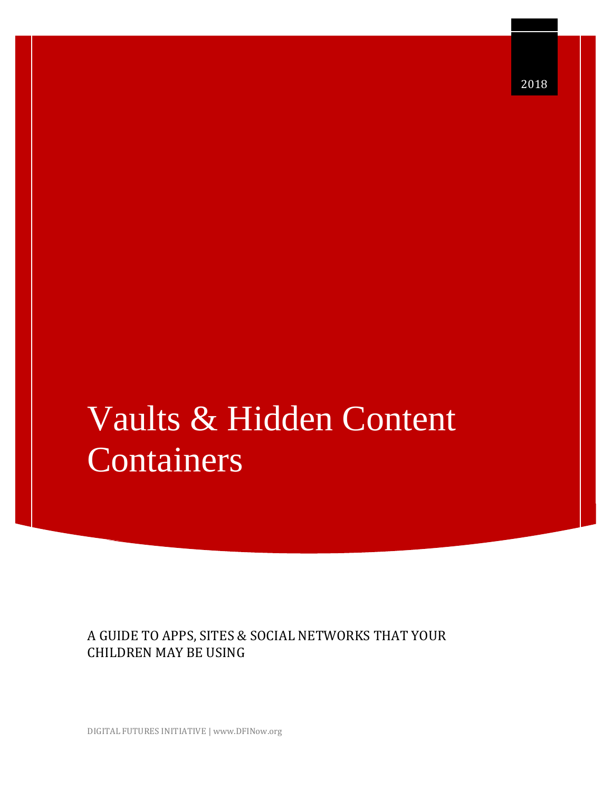# Vaults & Hidden Content Containers

A GUIDE TO APPS, SITES & SOCIAL NETWORKS THAT YOUR CHILDREN MAY BE USING

DIGITAL FUTURES INITIATIVE | www.DFINow.org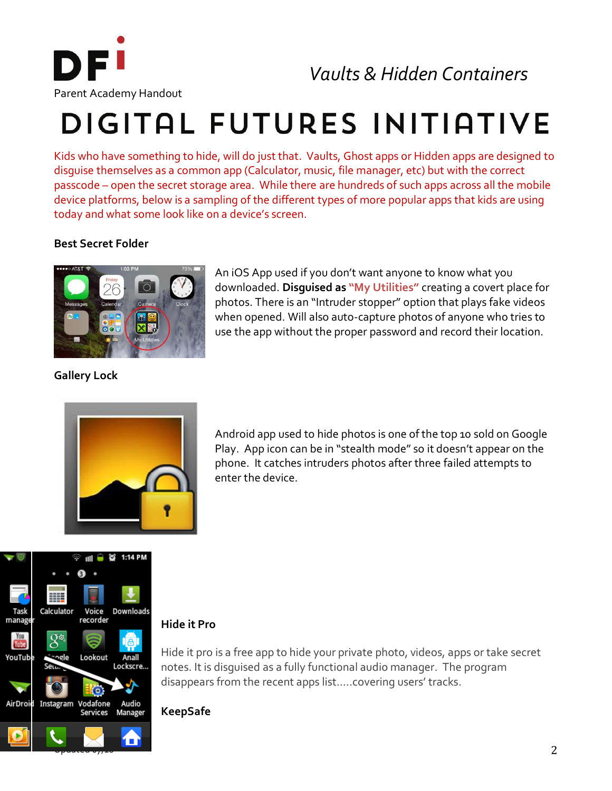

*Vaults & Hidden Containers*

# DIGITAL FUTURES INITIATIVE

Kids who have something to hide, will do just that. Vaults, Ghost apps or Hidden apps are designed to disguise themselves as a common app (Calculator, music, file manager, etc) but with the correct passcode – open the secret storage area. While there are hundreds of such apps across all the mobile device platforms, below is a sampling of the different types of more popular apps that kids are using today and what some look like on a device's screen.

## **Best Secret Folder**



An iOS App used if you don't want anyone to know what you downloaded. **Disguised as "My Utilities"** creating a covert place for photos. There is an "Intruder stopper" option that plays fake videos when opened. Will also auto-capture photos of anyone who tries to use the app without the proper password and record their location.

**Gallery Lock**



Android app used to hide photos is one of the top 10 sold on Google Play. App icon can be in "stealth mode" so it doesn't appear on the phone. It catches intruders photos after three failed attempts to enter the device.



### **Hide it Pro**

Hide it pro is a free app to hide your private photo, videos, apps or take secret notes. It is disguised as a fully functional audio manager. The program disappears from the recent apps list…..covering users' tracks.

**KeepSafe**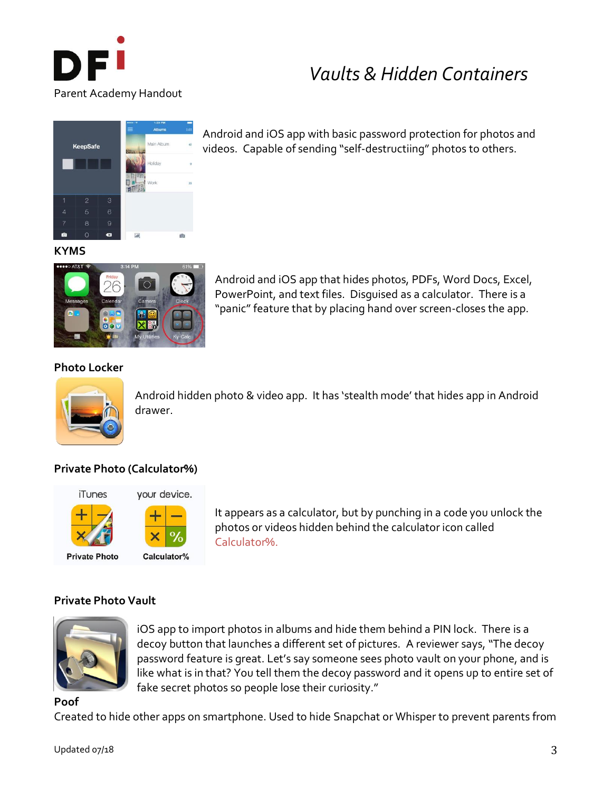

# *Vaults & Hidden Containers*



Android and iOS app with basic password protection for photos and videos. Capable of sending "self-destructiing" photos to others.

#### **KYMS**



Android and iOS app that hides photos, PDFs, Word Docs, Excel, PowerPoint, and text files. Disguised as a calculator. There is a "panic" feature that by placing hand over screen-closes the app.

#### **Photo Locker**



Android hidden photo & video app. It has 'stealth mode' that hides app in Android drawer.

# **Private Photo (Calculator%)**





It appears as a calculator, but by punching in a code you unlock the photos or videos hidden behind the calculator icon called Calculator%.

### **Private Photo Vault**



iOS app to import photos in albums and hide them behind a PIN lock. There is a decoy button that launches a different set of pictures. A reviewer says, "The decoy password feature is great. Let's say someone sees photo vault on your phone, and is like what is in that? You tell them the decoy password and it opens up to entire set of fake secret photos so people lose their curiosity."

#### **Poof**

Created to hide other apps on smartphone. Used to hide Snapchat or Whisper to prevent parents from